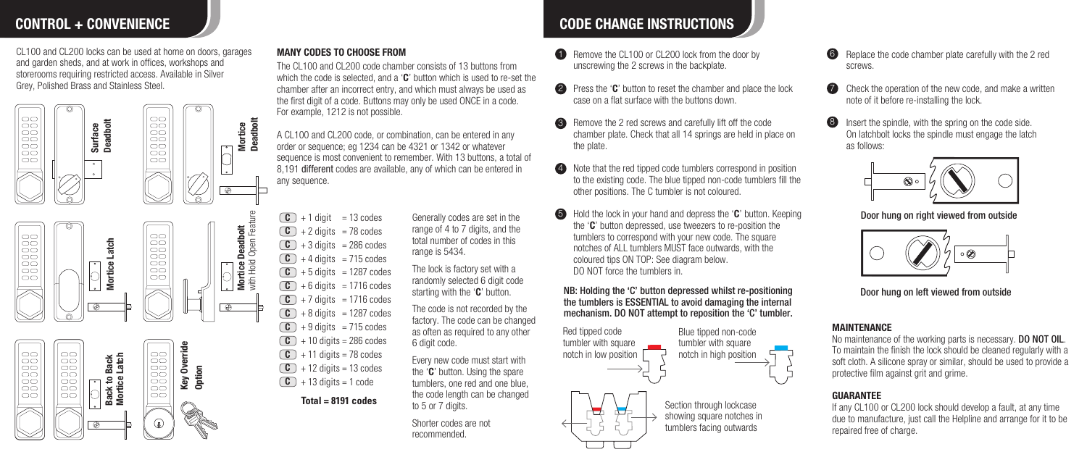CL100 and CL200 locks can be used at home on doors, garages and garden sheds, and at work in offices, workshops and storerooms requiring restricted access. Available in Silver Grey, Polished Brass and Stainless Steel.



### MANY CODES TO CHOOSE FROM

The CL100 and CL200 code chamber consists of 13 buttons from which the code is selected, and a 'C' button which is used to re-set the chamber after an incorrect entry, and which must always be used as the first digit of a code. Buttons may only be used ONCE in a code. For example, 1212 is not possible.

A CL100 and CL200 code, or combination, can be entered in any order or sequence; eg 1234 can be 4321 or 1342 or whatever sequence is most convenient to remember. With 13 buttons, a total of 8,191 different codes are available, any of which can be entered in any sequence.

 $+$  1 digit = 13 codes Generally codes are set in the  $\overline{\bullet}$  $\textbf{C}$  + 2 digits = 78 codes  $+3$  digits = 286 codes  $\textbf{C}$  + 4 digits = 715 codes  $\textbf{C}$  + 5 digits = 1287 codes  $\textbf{C}$  + 6 digits = 1716 codes  $\textbf{C}$  + 7 digits = 1716 codes  $\textbf{C}$  + 8 digits = 1287 codes  $\textbf{C}$  + 9 digits = 715 codes  $+ 10$  digits = 286 codes  $\begin{array}{|c|c|}\n\hline\n\text{C} & +1 \text{ diait} & = 13 \text{ codes}\n\end{array}$  $\boxed{\mathbf{C}}$  $\Gamma$ 

- $+ 11$  digits = 78 codes  $+ 12$  digits = 13 codes  $\boxed{\mathbf{C}}$  $\circ$
- $\textbf{C}$  + 13 digits = 1 code

**Total = 8191 codes**

range of 4 to 7 digits, and the total number of codes in this range is 5434.

The lock is factory set with a randomly selected 6 digit code starting with the 'C' button.

The code is not recorded by the factory. The code can be changed as often as required to any other 6 digit code.

Every new code must start with the 'C' button. Using the spare tumblers, one red and one blue, the code length can be changed to 5 or 7 digits.

Shorter codes are not recommended.

# CONTROL + CONVENIENCE THE COLLECTIONS CODE CHANGE INSTRUCTIONS

- **1** Remove the CL100 or CL200 lock from the door by unscrewing the 2 screws in the backplate.
- 2 Press the 'C' button to reset the chamber and place the lock case on a flat surface with the buttons down.
- Remove the 2 red screws and carefully lift off the code 3 chamber plate. Check that all 14 springs are held in place on the plate.
- 4 Note that the red tipped code tumblers correspond in position to the existing code. The blue tipped non-code tumblers fill the other positions. The C tumbler is not coloured.
- **G** Hold the lock in your hand and depress the 'C' button. Keeping the 'C' button depressed, use tweezers to re-position the tumblers to correspond with your new code. The square notches of ALL tumblers MUST face outwards, with the coloured tips ON TOP: See diagram below. DO NOT force the tumblers in.

NB: Holding the 'C' button depressed whilst re-positioning the tumblers is ESSENTIAL to avoid damaging the internal mechanism. DO NOT attempt to reposition the 'C' tumbler.



- Replace the code chamber plate carefully with the 2 red screws.
- Check the operation of the new code, and make a written note of it before re-installing the lock. 7
- Insert the spindle, with the spring on the code side. On latchbolt locks the spindle must engage the latch as follows: 8



### Door hung on right viewed from outside



Door hung on left viewed from outside

## **MAINTFNANCF**

No maintenance of the working parts is necessary. **DO NOT OIL.** To maintain the finish the lock should be cleaned regularly with a soft cloth. A silicone spray or similar, should be used to provide a protective film against grit and grime.

## **GUARANTEE**

If any CL100 or CL200 lock should develop a fault, at any time due to manufacture, just call the Helpline and arrange for it to be repaired free of charge.